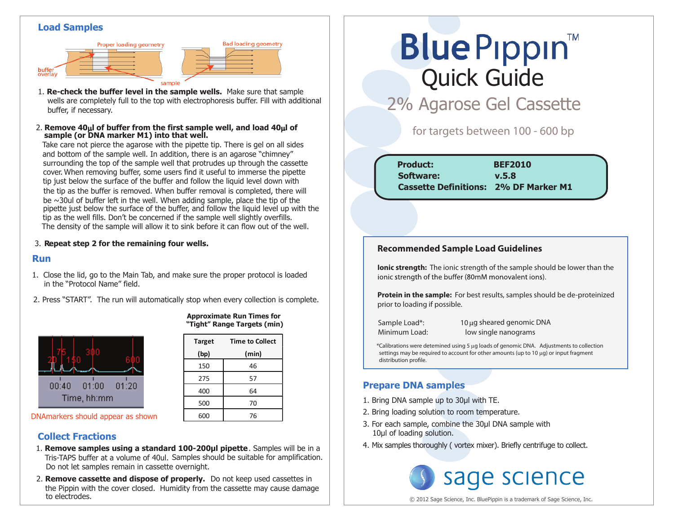#### **Load Samples**





**sample (or DNA marker M1) into that well.** 2. **Remove 40**µ**l of buffer from the first sample well, and load 40**µ**l of**

Take care not pierce the agarose with the pipette tip. There is gel on all sides and bottom of the sample well. In addition, there is an agarose "chimney" surrounding the top of the sample well that protrudes up through the cassette cover. When removing buffer, some users find it useful to immerse the pipette tip just below the surface of the buffer and follow the liquid level down with the tip as the buffer is removed. When buffer removal is completed, there will be  $\sim$ 30ul of buffer left in the well. When adding sample, place the tip of the pipette just below the surface of the buffer, and follow the liquid level up with the tip as the well fills. Don't be concerned if the sample well slightly overfills. The density of the sample will allow it to sink before it can flow out of the well.

#### 3. **Repeat step 2 for the remaining four wells.**

#### **Run**

- 1. Close the lid, go to the Main Tab, and make sure the proper protocol is loaded in the "Protocol Name" field.
- 2. Press "START". The run will automatically stop when every collection is complete.



| <b>Target</b> | <b>Time to Collect</b> |
|---------------|------------------------|
| (bp)          | (min)                  |
| 150           | 46                     |
| 275           | 57                     |
| 400           | 64                     |
| 500           | 70                     |
| 600           | 76                     |

**Approximate Run Times for "Tight" Range Targets (min)**

**Bad loading geometry** 

DNAmarkers should appear as shown

## **Collect Fractions**

- Tris-TAPS buffer at a volume of 40ul. Samples should be suitable for amplification. 1. **Remove samples using a standard 100-200µl pipette**. Samples will be in a Do not let samples remain in cassette overnight.
- 2. **Remove cassette and dispose of properly.** Do not keep used cassettes in the Pippin with the cover closed. Humidity from the cassette may cause damage to electrodes.

# **Blue Pippin** Quick Guide

2% Agarose Gel Cassette

for targets between 100 - 600 bp

**Product: BEF2010 Cassette Definitions: 2% DF Marker M1 Software: v.5.8**

#### **Recommended Sample Load Guidelines**

**Ionic strength:** The ionic strength of the sample should be lower than the ionic strength of the buffer (80mM monovalent ions).

**Protein in the sample:** For best results, samples should be de-proteinized prior to loading if possible.

Sample Load\*: 10 µg sheared genomic DNA Minimum Load: low single nanograms

\*Calibrations were detemined using 5 µg loads of genomic DNA. Adjustments to collection settings may be required to account for other amounts (up to 10 µg) or input fragment distribution profile.

### **Prepare DNA samples**

- 1. Bring DNA sample up to 30μl with TE.
- 2. Bring loading solution to room temperature.
- 3. For each sample, combine the 30μl DNA sample with 10μl of loading solution.
- 4. Mix samples thoroughly ( vortex mixer). Briefly centrifuge to collect.